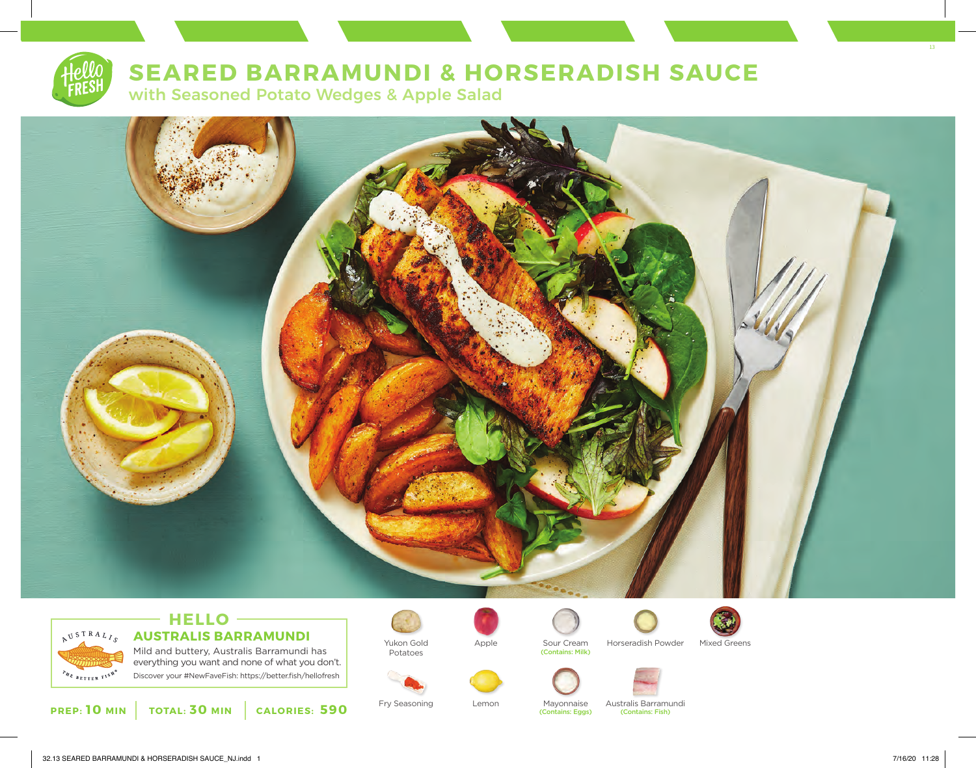

# **SEARED BARRAMUNDI & HORSERADISH SAUCE**

with Seasoned Potato Wedges & Apple Salad





## **HELLO AUSTRALIS BARRAMUNDI**

Mild and buttery, Australis Barramundi has everything you want and none of what you don't. Discover your #NewFaveFish: https://better.fish/hellofresh

**PREP: 10 MIN TOTAL: 30 MIN CALORIES: 590**



Potatoes



Sour Cream<br>(Contains: Milk)

(Contains: Eggs)





Apple Sour Cream Horseradish Powder Mixed Greens





(Contains: Fish)

Fry Seasoning Lemon Mayonnaise Australis Barramundi

13